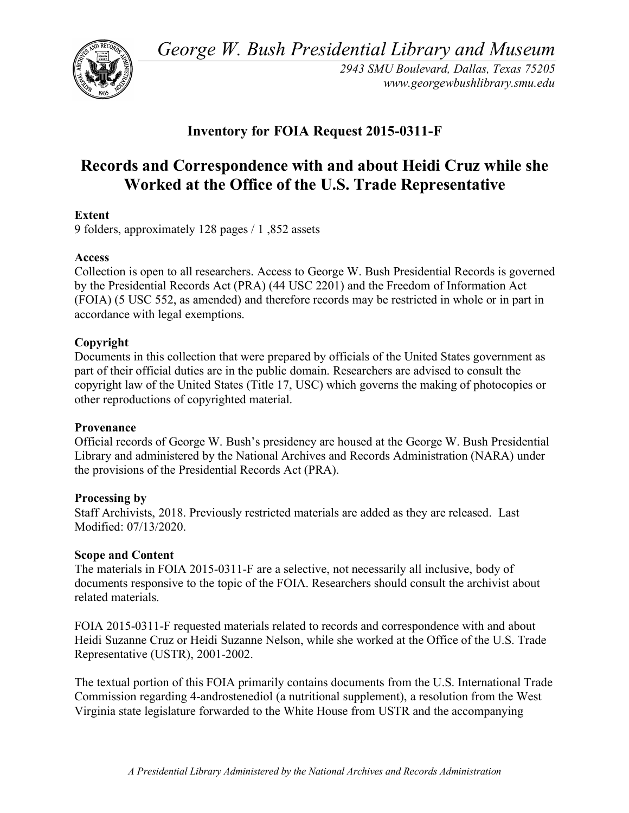*George W. Bush Presidential Library and Museum* 



*2943 SMU Boulevard, Dallas, Texas 75205 <www.georgewbushlibrary.smu.edu>* 

## **Inventory for FOIA Request 2015-0311-F**

# **Records and Correspondence with and about Heidi Cruz while she Worked at the Office of the U.S. Trade Representative**

## **Extent**

9 folders, approximately 128 pages / 1 ,852 assets

## **Access**

 Collection is open to all researchers. Access to George W. Bush Presidential Records is governed by the Presidential Records Act (PRA) (44 USC 2201) and the Freedom of Information Act (FOIA) (5 USC 552, as amended) and therefore records may be restricted in whole or in part in accordance with legal exemptions.

## **Copyright**

 Documents in this collection that were prepared by officials of the United States government as part of their official duties are in the public domain. Researchers are advised to consult the copyright law of the United States (Title 17, USC) which governs the making of photocopies or other reproductions of copyrighted material.

#### **Provenance**

 Official records of George W. Bush's presidency are housed at the George W. Bush Presidential Library and administered by the National Archives and Records Administration (NARA) under the provisions of the Presidential Records Act (PRA).

#### **Processing by**

 Staff Archivists, 2018. Previously restricted materials are added as they are released. Last Modified: 07/13/2020.

#### **Scope and Content**

 The materials in FOIA 2015-0311-F are a selective, not necessarily all inclusive, body of documents responsive to the topic of the FOIA. Researchers should consult the archivist about related materials.

 FOIA 2015-0311-F requested materials related to records and correspondence with and about Heidi Suzanne Cruz or Heidi Suzanne Nelson, while she worked at the Office of the U.S. Trade Representative (USTR), 2001-2002.

 The textual portion of this FOIA primarily contains documents from the U.S. International Trade Commission regarding 4-androstenediol (a nutritional supplement), a resolution from the West Virginia state legislature forwarded to the White House from USTR and the accompanying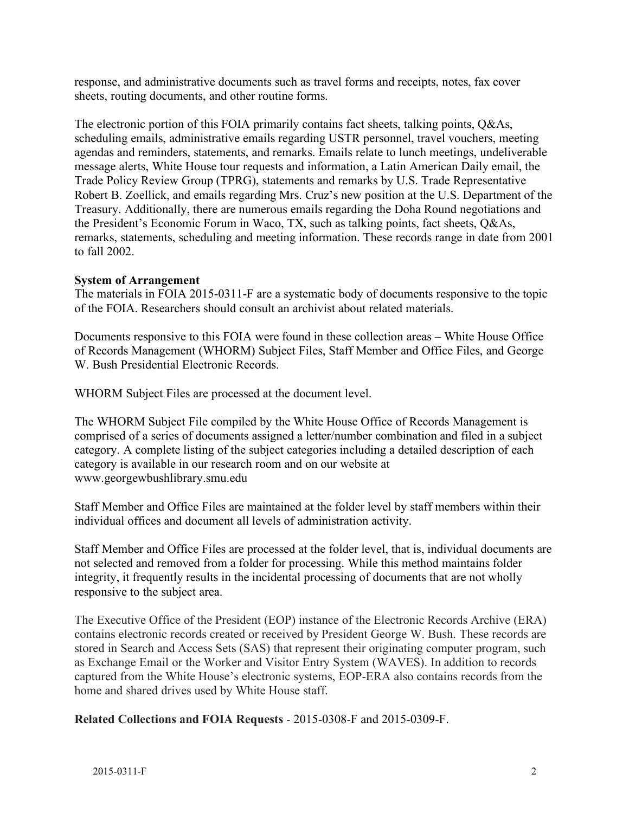response, and administrative documents such as travel forms and receipts, notes, fax cover sheets, routing documents, and other routine forms.

 The electronic portion of this FOIA primarily contains fact sheets, talking points, Q&As, scheduling emails, administrative emails regarding USTR personnel, travel vouchers, meeting agendas and reminders, statements, and remarks. Emails relate to lunch meetings, undeliverable message alerts, White House tour requests and information, a Latin American Daily email, the Trade Policy Review Group (TPRG), statements and remarks by U.S. Trade Representative Robert B. Zoellick, and emails regarding Mrs. Cruz's new position at the U.S. Department of the Treasury. Additionally, there are numerous emails regarding the Doha Round negotiations and the President's Economic Forum in Waco, TX, such as talking points, fact sheets, Q&As, remarks, statements, scheduling and meeting information. These records range in date from 2001 to fall 2002.

#### **System of Arrangement**

 The materials in FOIA 2015-0311-F are a systematic body of documents responsive to the topic of the FOIA. Researchers should consult an archivist about related materials.

 Documents responsive to this FOIA were found in these collection areas – White House Office of Records Management (WHORM) Subject Files, Staff Member and Office Files, and George W. Bush Presidential Electronic Records.

WHORM Subject Files are processed at the document level.

 The WHORM Subject File compiled by the White House Office of Records Management is comprised of a series of documents assigned a letter/number combination and filed in a subject category. A complete listing of the subject categories including a detailed description of each category is available in our research room and on our website at <www.georgewbushlibrary.smu.edu>

 Staff Member and Office Files are maintained at the folder level by staff members within their individual offices and document all levels of administration activity.

 Staff Member and Office Files are processed at the folder level, that is, individual documents are not selected and removed from a folder for processing. While this method maintains folder integrity, it frequently results in the incidental processing of documents that are not wholly responsive to the subject area.

 The Executive Office of the President (EOP) instance of the Electronic Records Archive (ERA) contains electronic records created or received by President George W. Bush. These records are stored in Search and Access Sets (SAS) that represent their originating computer program, such as Exchange Email or the Worker and Visitor Entry System (WAVES). In addition to records captured from the White House's electronic systems, EOP-ERA also contains records from the home and shared drives used by White House staff.

 **Related Collections and FOIA Requests** - 2015-0308-F and 2015-0309-F.